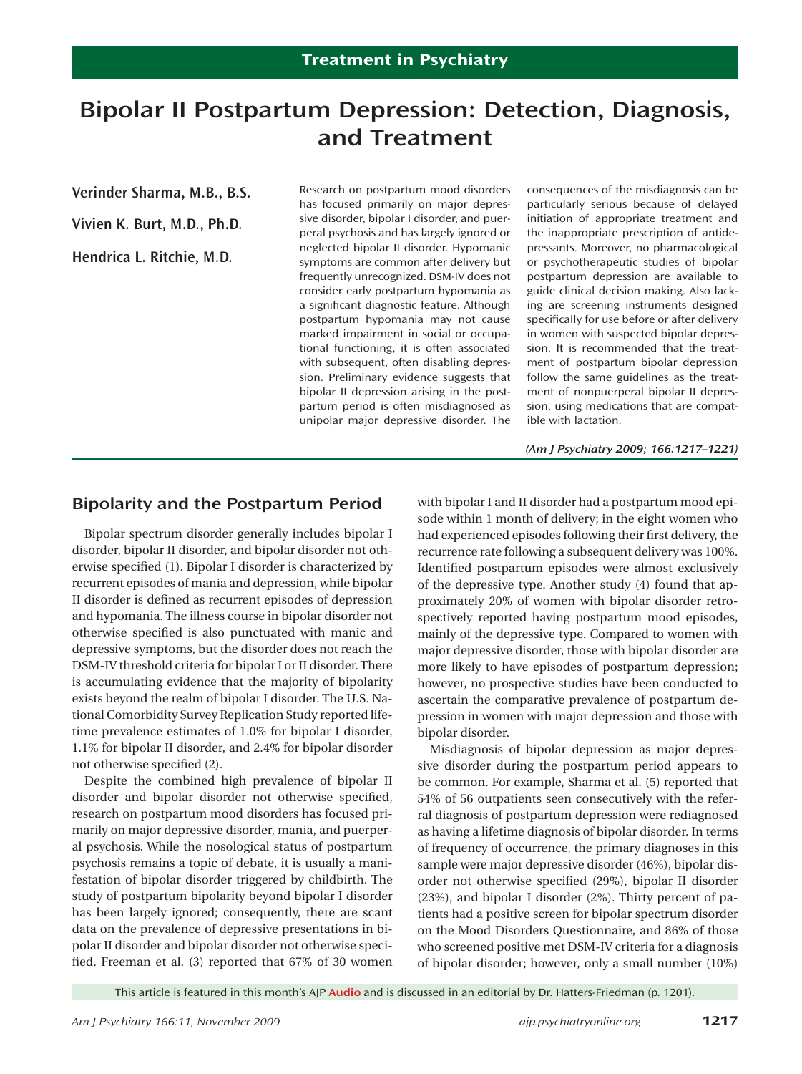# Bipolar II Postpartum Depression: Detection, Diagnosis, and Treatment

Verinder Sharma, M.B., B.S. Vivien K. Burt, M.D., Ph.D.

Hendrica L. Ritchie, M.D.

Research on postpartum mood disorders has focused primarily on major depressive disorder, bipolar I disorder, and puerperal psychosis and has largely ignored or neglected bipolar II disorder. Hypomanic symptoms are common after delivery but frequently unrecognized. DSM-IV does not consider early postpartum hypomania as a significant diagnostic feature. Although postpartum hypomania may not cause marked impairment in social or occupational functioning, it is often associated with subsequent, often disabling depression. Preliminary evidence suggests that bipolar II depression arising in the postpartum period is often misdiagnosed as unipolar major depressive disorder. The consequences of the misdiagnosis can be particularly serious because of delayed initiation of appropriate treatment and the inappropriate prescription of antidepressants. Moreover, no pharmacological or psychotherapeutic studies of bipolar postpartum depression are available to guide clinical decision making. Also lacking are screening instruments designed specifically for use before or after delivery in women with suspected bipolar depression. It is recommended that the treatment of postpartum bipolar depression follow the same guidelines as the treatment of nonpuerperal bipolar II depression, using medications that are compatible with lactation.

*(Am J Psychiatry 2009; 166:1217–1221)*

# Bipolarity and the Postpartum Period

Bipolar spectrum disorder generally includes bipolar I disorder, bipolar II disorder, and bipolar disorder not otherwise specified (1). Bipolar I disorder is characterized by recurrent episodes of mania and depression, while bipolar II disorder is defined as recurrent episodes of depression and hypomania. The illness course in bipolar disorder not otherwise specified is also punctuated with manic and depressive symptoms, but the disorder does not reach the DSM-IV threshold criteria for bipolar I or II disorder. There is accumulating evidence that the majority of bipolarity exists beyond the realm of bipolar I disorder. The U.S. National Comorbidity Survey Replication Study reported lifetime prevalence estimates of 1.0% for bipolar I disorder, 1.1% for bipolar II disorder, and 2.4% for bipolar disorder not otherwise specified (2).

Despite the combined high prevalence of bipolar II disorder and bipolar disorder not otherwise specified, research on postpartum mood disorders has focused primarily on major depressive disorder, mania, and puerperal psychosis. While the nosological status of postpartum psychosis remains a topic of debate, it is usually a manifestation of bipolar disorder triggered by childbirth. The study of postpartum bipolarity beyond bipolar I disorder has been largely ignored; consequently, there are scant data on the prevalence of depressive presentations in bipolar II disorder and bipolar disorder not otherwise specified. Freeman et al. (3) reported that 67% of 30 women

with bipolar I and II disorder had a postpartum mood episode within 1 month of delivery; in the eight women who had experienced episodes following their first delivery, the recurrence rate following a subsequent delivery was 100%. Identified postpartum episodes were almost exclusively of the depressive type. Another study (4) found that approximately 20% of women with bipolar disorder retrospectively reported having postpartum mood episodes, mainly of the depressive type. Compared to women with major depressive disorder, those with bipolar disorder are more likely to have episodes of postpartum depression; however, no prospective studies have been conducted to ascertain the comparative prevalence of postpartum depression in women with major depression and those with bipolar disorder.

Misdiagnosis of bipolar depression as major depressive disorder during the postpartum period appears to be common. For example, Sharma et al. (5) reported that 54% of 56 outpatients seen consecutively with the referral diagnosis of postpartum depression were rediagnosed as having a lifetime diagnosis of bipolar disorder. In terms of frequency of occurrence, the primary diagnoses in this sample were major depressive disorder (46%), bipolar disorder not otherwise specified (29%), bipolar II disorder (23%), and bipolar I disorder (2%). Thirty percent of patients had a positive screen for bipolar spectrum disorder on the Mood Disorders Questionnaire, and 86% of those who screened positive met DSM-IV criteria for a diagnosis of bipolar disorder; however, only a small number (10%)

This article is featured in this month's AJP Audio and is discussed in an editorial by Dr. Hatters-Friedman (p. 1201).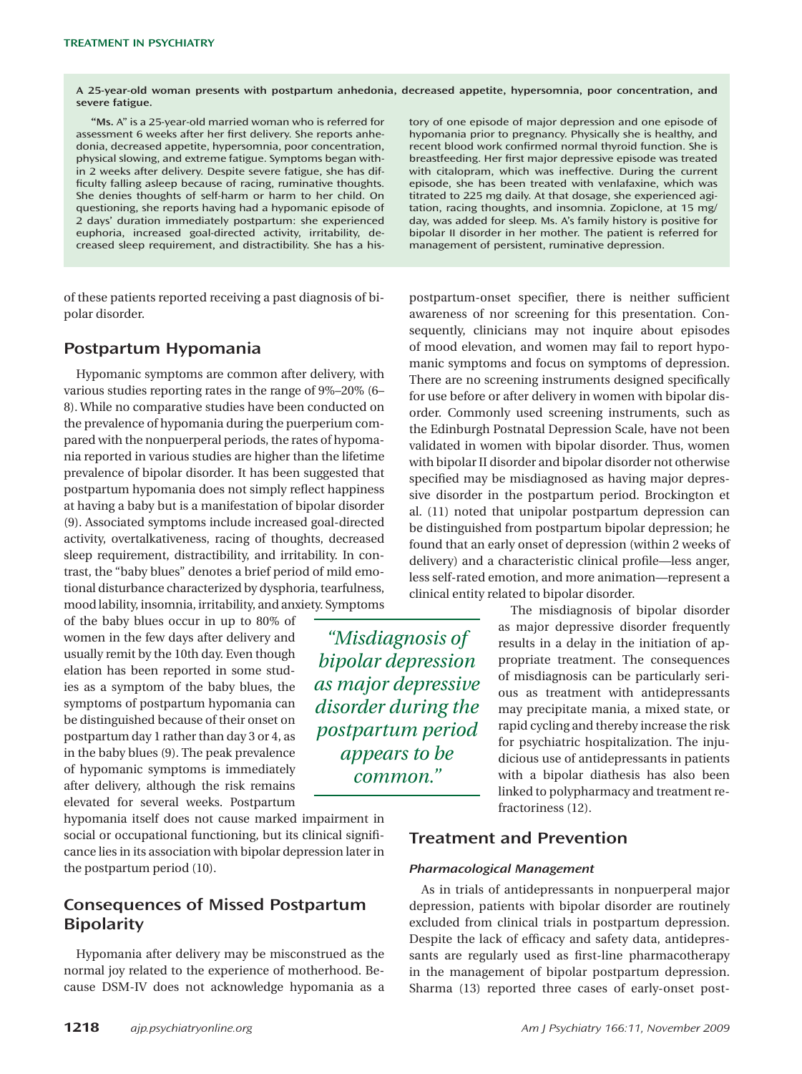A 25-year-old woman presents with postpartum anhedonia, decreased appetite, hypersomnia, poor concentration, and severe fatigue.

"Ms. A" is a 25-year-old married woman who is referred for assessment 6 weeks after her first delivery. She reports anhedonia, decreased appetite, hypersomnia, poor concentration, physical slowing, and extreme fatigue. Symptoms began within 2 weeks after delivery. Despite severe fatigue, she has difficulty falling asleep because of racing, ruminative thoughts. She denies thoughts of self-harm or harm to her child. On questioning, she reports having had a hypomanic episode of 2 days' duration immediately postpartum: she experienced euphoria, increased goal-directed activity, irritability, decreased sleep requirement, and distractibility. She has a his-

of these patients reported receiving a past diagnosis of bipolar disorder.

### Postpartum Hypomania

Hypomanic symptoms are common after delivery, with various studies reporting rates in the range of 9%–20% (6– 8). While no comparative studies have been conducted on the prevalence of hypomania during the puerperium compared with the nonpuerperal periods, the rates of hypomania reported in various studies are higher than the lifetime prevalence of bipolar disorder. It has been suggested that postpartum hypomania does not simply reflect happiness at having a baby but is a manifestation of bipolar disorder (9). Associated symptoms include increased goal-directed activity, overtalkativeness, racing of thoughts, decreased sleep requirement, distractibility, and irritability. In contrast, the "baby blues" denotes a brief period of mild emotional disturbance characterized by dysphoria, tearfulness, mood lability, insomnia, irritability, and anxiety. Symptoms

of the baby blues occur in up to 80% of women in the few days after delivery and usually remit by the 10th day. Even though elation has been reported in some studies as a symptom of the baby blues, the symptoms of postpartum hypomania can be distinguished because of their onset on postpartum day 1 rather than day 3 or 4, as in the baby blues (9). The peak prevalence of hypomanic symptoms is immediately after delivery, although the risk remains elevated for several weeks. Postpartum

hypomania itself does not cause marked impairment in social or occupational functioning, but its clinical significance lies in its association with bipolar depression later in the postpartum period (10).

# Consequences of Missed Postpartum Bipolarity

Hypomania after delivery may be misconstrued as the normal joy related to the experience of motherhood. Because DSM-IV does not acknowledge hypomania as a

tory of one episode of major depression and one episode of hypomania prior to pregnancy. Physically she is healthy, and recent blood work confirmed normal thyroid function. She is breastfeeding. Her first major depressive episode was treated with citalopram, which was ineffective. During the current episode, she has been treated with venlafaxine, which was titrated to 225 mg daily. At that dosage, she experienced agitation, racing thoughts, and insomnia. Zopiclone, at 15 mg/ day, was added for sleep. Ms. A's family history is positive for bipolar II disorder in her mother. The patient is referred for management of persistent, ruminative depression.

postpartum-onset specifier, there is neither sufficient awareness of nor screening for this presentation. Consequently, clinicians may not inquire about episodes of mood elevation, and women may fail to report hypomanic symptoms and focus on symptoms of depression. There are no screening instruments designed specifically for use before or after delivery in women with bipolar disorder. Commonly used screening instruments, such as the Edinburgh Postnatal Depression Scale, have not been validated in women with bipolar disorder. Thus, women with bipolar II disorder and bipolar disorder not otherwise specified may be misdiagnosed as having major depressive disorder in the postpartum period. Brockington et al. (11) noted that unipolar postpartum depression can be distinguished from postpartum bipolar depression; he found that an early onset of depression (within 2 weeks of delivery) and a characteristic clinical profile—less anger, less self-rated emotion, and more animation—represent a clinical entity related to bipolar disorder.

> The misdiagnosis of bipolar disorder as major depressive disorder frequently results in a delay in the initiation of appropriate treatment. The consequences of misdiagnosis can be particularly serious as treatment with antidepressants may precipitate mania, a mixed state, or rapid cycling and thereby increase the risk for psychiatric hospitalization. The injudicious use of antidepressants in patients with a bipolar diathesis has also been linked to polypharmacy and treatment refractoriness (12).

# Treatment and Prevention

#### *Pharmacological Management*

As in trials of antidepressants in nonpuerperal major depression, patients with bipolar disorder are routinely excluded from clinical trials in postpartum depression. Despite the lack of efficacy and safety data, antidepressants are regularly used as first-line pharmacotherapy in the management of bipolar postpartum depression. Sharma (13) reported three cases of early-onset post-

*bipolar depression as major depressive disorder during the postpartum period appears to be common."*

*"Misdiagnosis of*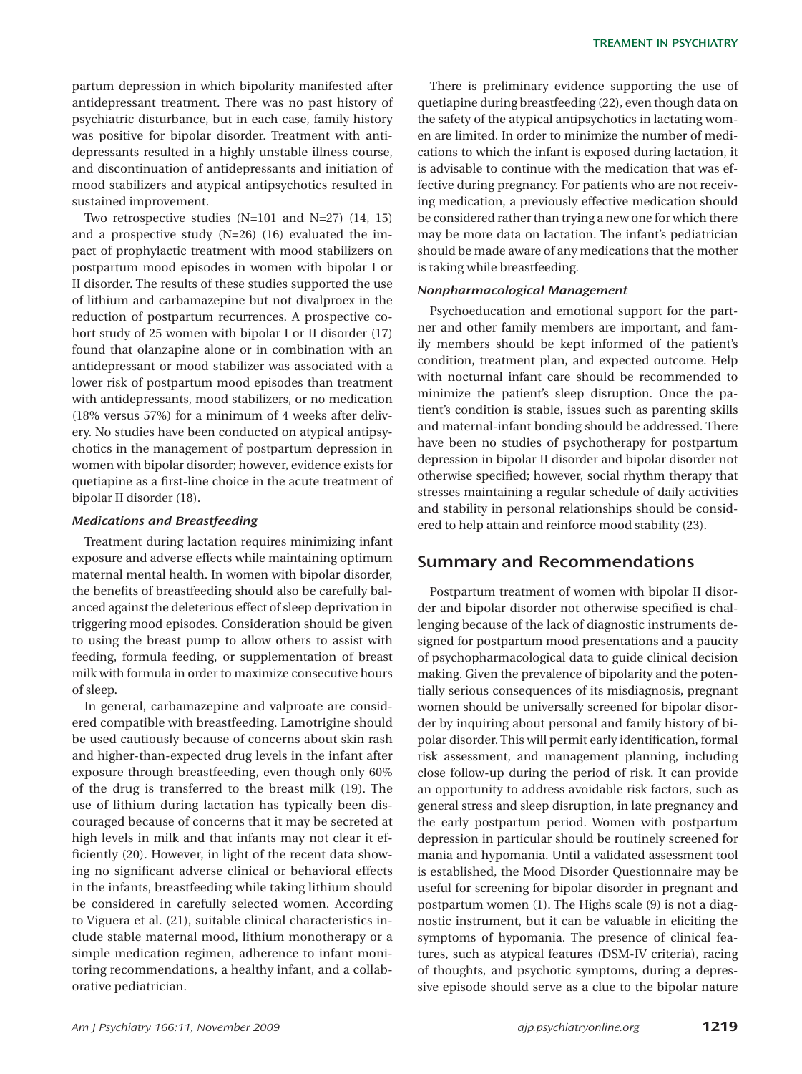partum depression in which bipolarity manifested after antidepressant treatment. There was no past history of psychiatric disturbance, but in each case, family history was positive for bipolar disorder. Treatment with antidepressants resulted in a highly unstable illness course, and discontinuation of antidepressants and initiation of mood stabilizers and atypical antipsychotics resulted in sustained improvement.

Two retrospective studies  $(N=101$  and  $N=27$ )  $(14, 15)$ and a prospective study (N=26) (16) evaluated the impact of prophylactic treatment with mood stabilizers on postpartum mood episodes in women with bipolar I or II disorder. The results of these studies supported the use of lithium and carbamazepine but not divalproex in the reduction of postpartum recurrences. A prospective cohort study of 25 women with bipolar I or II disorder (17) found that olanzapine alone or in combination with an antidepressant or mood stabilizer was associated with a lower risk of postpartum mood episodes than treatment with antidepressants, mood stabilizers, or no medication (18% versus 57%) for a minimum of 4 weeks after delivery. No studies have been conducted on atypical antipsychotics in the management of postpartum depression in women with bipolar disorder; however, evidence exists for quetiapine as a first-line choice in the acute treatment of bipolar II disorder (18).

#### *Medications and Breastfeeding*

Treatment during lactation requires minimizing infant exposure and adverse effects while maintaining optimum maternal mental health. In women with bipolar disorder, the benefits of breastfeeding should also be carefully balanced against the deleterious effect of sleep deprivation in triggering mood episodes. Consideration should be given to using the breast pump to allow others to assist with feeding, formula feeding, or supplementation of breast milk with formula in order to maximize consecutive hours of sleep.

In general, carbamazepine and valproate are considered compatible with breastfeeding. Lamotrigine should be used cautiously because of concerns about skin rash and higher-than-expected drug levels in the infant after exposure through breastfeeding, even though only 60% of the drug is transferred to the breast milk (19). The use of lithium during lactation has typically been discouraged because of concerns that it may be secreted at high levels in milk and that infants may not clear it efficiently (20). However, in light of the recent data showing no significant adverse clinical or behavioral effects in the infants, breastfeeding while taking lithium should be considered in carefully selected women. According to Viguera et al. (21), suitable clinical characteristics include stable maternal mood, lithium monotherapy or a simple medication regimen, adherence to infant monitoring recommendations, a healthy infant, and a collaborative pediatrician.

There is preliminary evidence supporting the use of quetiapine during breastfeeding (22), even though data on the safety of the atypical antipsychotics in lactating women are limited. In order to minimize the number of medications to which the infant is exposed during lactation, it is advisable to continue with the medication that was effective during pregnancy. For patients who are not receiving medication, a previously effective medication should be considered rather than trying a new one for which there may be more data on lactation. The infant's pediatrician should be made aware of any medications that the mother is taking while breastfeeding.

## *Nonpharmacological Management*

Psychoeducation and emotional support for the partner and other family members are important, and family members should be kept informed of the patient's condition, treatment plan, and expected outcome. Help with nocturnal infant care should be recommended to minimize the patient's sleep disruption. Once the patient's condition is stable, issues such as parenting skills and maternal-infant bonding should be addressed. There have been no studies of psychotherapy for postpartum depression in bipolar II disorder and bipolar disorder not otherwise specified; however, social rhythm therapy that stresses maintaining a regular schedule of daily activities and stability in personal relationships should be considered to help attain and reinforce mood stability (23).

# Summary and Recommendations

Postpartum treatment of women with bipolar II disorder and bipolar disorder not otherwise specified is challenging because of the lack of diagnostic instruments designed for postpartum mood presentations and a paucity of psychopharmacological data to guide clinical decision making. Given the prevalence of bipolarity and the potentially serious consequences of its misdiagnosis, pregnant women should be universally screened for bipolar disorder by inquiring about personal and family history of bipolar disorder. This will permit early identification, formal risk assessment, and management planning, including close follow-up during the period of risk. It can provide an opportunity to address avoidable risk factors, such as general stress and sleep disruption, in late pregnancy and the early postpartum period. Women with postpartum depression in particular should be routinely screened for mania and hypomania. Until a validated assessment tool is established, the Mood Disorder Questionnaire may be useful for screening for bipolar disorder in pregnant and postpartum women (1). The Highs scale (9) is not a diagnostic instrument, but it can be valuable in eliciting the symptoms of hypomania. The presence of clinical features, such as atypical features (DSM-IV criteria), racing of thoughts, and psychotic symptoms, during a depressive episode should serve as a clue to the bipolar nature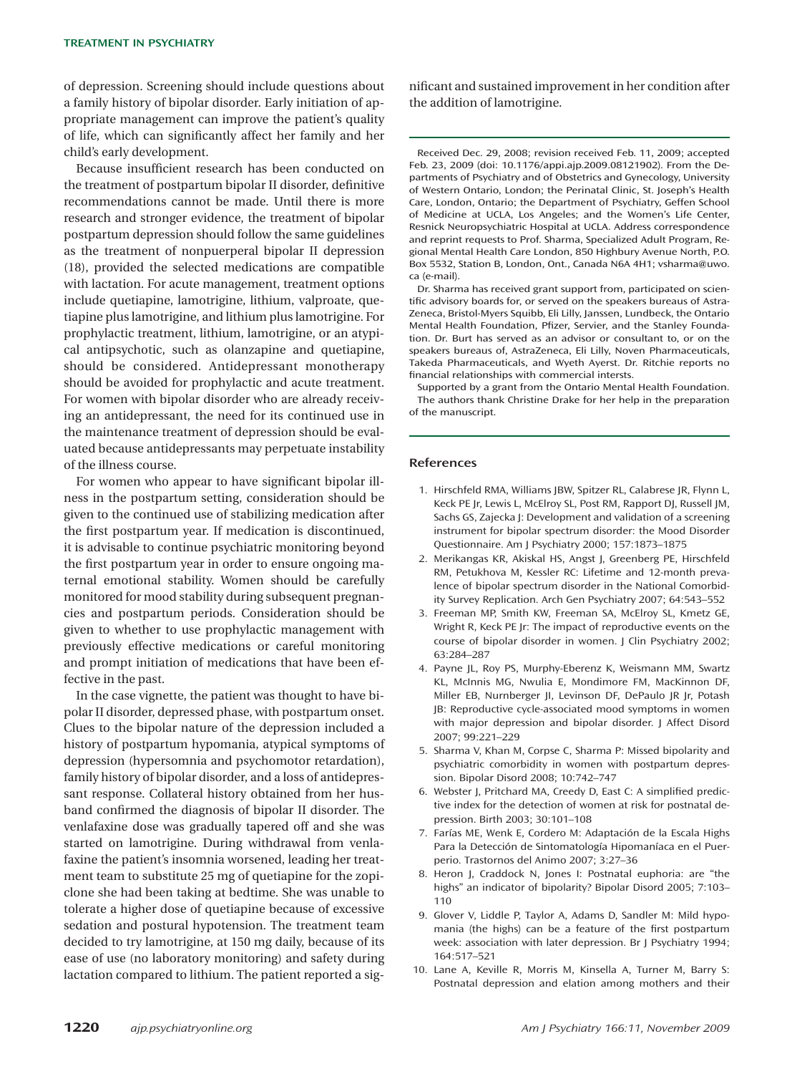of depression. Screening should include questions about a family history of bipolar disorder. Early initiation of appropriate management can improve the patient's quality of life, which can significantly affect her family and her child's early development.

Because insufficient research has been conducted on the treatment of postpartum bipolar II disorder, definitive recommendations cannot be made. Until there is more research and stronger evidence, the treatment of bipolar postpartum depression should follow the same guidelines as the treatment of nonpuerperal bipolar II depression (18), provided the selected medications are compatible with lactation. For acute management, treatment options include quetiapine, lamotrigine, lithium, valproate, quetiapine plus lamotrigine, and lithium plus lamotrigine. For prophylactic treatment, lithium, lamotrigine, or an atypical antipsychotic, such as olanzapine and quetiapine, should be considered. Antidepressant monotherapy should be avoided for prophylactic and acute treatment. For women with bipolar disorder who are already receiving an antidepressant, the need for its continued use in the maintenance treatment of depression should be evaluated because antidepressants may perpetuate instability of the illness course.

For women who appear to have significant bipolar illness in the postpartum setting, consideration should be given to the continued use of stabilizing medication after the first postpartum year. If medication is discontinued, it is advisable to continue psychiatric monitoring beyond the first postpartum year in order to ensure ongoing maternal emotional stability. Women should be carefully monitored for mood stability during subsequent pregnancies and postpartum periods. Consideration should be given to whether to use prophylactic management with previously effective medications or careful monitoring and prompt initiation of medications that have been effective in the past.

In the case vignette, the patient was thought to have bipolar II disorder, depressed phase, with postpartum onset. Clues to the bipolar nature of the depression included a history of postpartum hypomania, atypical symptoms of depression (hypersomnia and psychomotor retardation), family history of bipolar disorder, and a loss of antidepressant response. Collateral history obtained from her husband confirmed the diagnosis of bipolar II disorder. The venlafaxine dose was gradually tapered off and she was started on lamotrigine. During withdrawal from venlafaxine the patient's insomnia worsened, leading her treatment team to substitute 25 mg of quetiapine for the zopiclone she had been taking at bedtime. She was unable to tolerate a higher dose of quetiapine because of excessive sedation and postural hypotension. The treatment team decided to try lamotrigine, at 150 mg daily, because of its ease of use (no laboratory monitoring) and safety during lactation compared to lithium. The patient reported a significant and sustained improvement in her condition after the addition of lamotrigine.

Received Dec. 29, 2008; revision received Feb. 11, 2009; accepted Feb. 23, 2009 (doi: 10.1176/appi.ajp.2009.08121902). From the Departments of Psychiatry and of Obstetrics and Gynecology, University of Western Ontario, London; the Perinatal Clinic, St. Joseph's Health Care, London, Ontario; the Department of Psychiatry, Geffen School of Medicine at UCLA, Los Angeles; and the Women's Life Center, Resnick Neuropsychiatric Hospital at UCLA. Address correspondence and reprint requests to Prof. Sharma, Specialized Adult Program, Regional Mental Health Care London, 850 Highbury Avenue North, P.O. Box 5532, Station B, London, Ont., Canada N6A 4H1; vsharma@uwo. ca (e-mail).

Dr. Sharma has received grant support from, participated on scientific advisory boards for, or served on the speakers bureaus of Astra-Zeneca, Bristol-Myers Squibb, Eli Lilly, Janssen, Lundbeck, the Ontario Mental Health Foundation, Pfizer, Servier, and the Stanley Foundation. Dr. Burt has served as an advisor or consultant to, or on the speakers bureaus of, AstraZeneca, Eli Lilly, Noven Pharmaceuticals, Takeda Pharmaceuticals, and Wyeth Averst. Dr. Ritchie reports no financial relationships with commercial intersts.

Supported by a grant from the Ontario Mental Health Foundation. The authors thank Christine Drake for her help in the preparation of the manuscript.

#### References

- 1. Hirschfeld RMA, Williams JBW, Spitzer RL, Calabrese JR, Flynn L, Keck PE Jr, Lewis L, McElroy SL, Post RM, Rapport DJ, Russell JM, Sachs GS, Zajecka J: Development and validation of a screening instrument for bipolar spectrum disorder: the Mood Disorder Questionnaire. Am J Psychiatry 2000; 157:1873–1875
- 2. Merikangas KR, Akiskal HS, Angst J, Greenberg PE, Hirschfeld RM, Petukhova M, Kessler RC: Lifetime and 12-month prevalence of bipolar spectrum disorder in the National Comorbidity Survey Replication. Arch Gen Psychiatry 2007; 64:543–552
- 3. Freeman MP, Smith KW, Freeman SA, McElroy SL, Kmetz GE, Wright R, Keck PE Jr: The impact of reproductive events on the course of bipolar disorder in women. J Clin Psychiatry 2002; 63:284–287
- 4. Payne JL, Roy PS, Murphy-Eberenz K, Weismann MM, Swartz KL, McInnis MG, Nwulia E, Mondimore FM, MacKinnon DF, Miller EB, Nurnberger JI, Levinson DF, DePaulo JR Jr, Potash JB: Reproductive cycle-associated mood symptoms in women with major depression and bipolar disorder. J Affect Disord 2007; 99:221–229
- 5. Sharma V, Khan M, Corpse C, Sharma P: Missed bipolarity and psychiatric comorbidity in women with postpartum depression. Bipolar Disord 2008; 10:742–747
- 6. Webster J, Pritchard MA, Creedy D, East C: A simplified predictive index for the detection of women at risk for postnatal depression. Birth 2003; 30:101–108
- 7. Farías ME, Wenk E, Cordero M: Adaptación de la Escala Highs Para la Detección de Sintomatología Hipomaníaca en el Puerperio. Trastornos del Animo 2007; 3:27–36
- 8. Heron J, Craddock N, Jones I: Postnatal euphoria: are "the highs" an indicator of bipolarity? Bipolar Disord 2005; 7:103– 110
- 9. Glover V, Liddle P, Taylor A, Adams D, Sandler M: Mild hypomania (the highs) can be a feature of the first postpartum week: association with later depression. Br J Psychiatry 1994; 164:517–521
- 10. Lane A, Keville R, Morris M, Kinsella A, Turner M, Barry S: Postnatal depression and elation among mothers and their